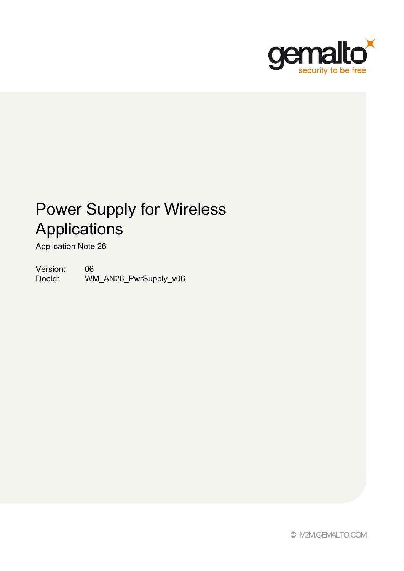

# Power Supply for Wireless Applications

Application Note 26

Version: 06<br>Docld: WM WM\_AN26\_PwrSupply\_v06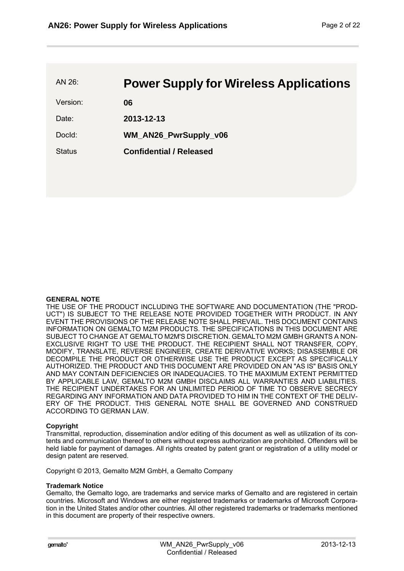AN 26: **Power Supply for Wireless Applications** 

Version: **06**

Date: **2013-12-13**

DocId: **WM\_AN26\_PwrSupply\_v06** 

Status **Confidential / Released**

#### **GENERAL NOTE**

THE USE OF THE PRODUCT INCLUDING THE SOFTWARE AND DOCUMENTATION (THE "PROD-UCT") IS SUBJECT TO THE RELEASE NOTE PROVIDED TOGETHER WITH PRODUCT. IN ANY EVENT THE PROVISIONS OF THE RELEASE NOTE SHALL PREVAIL. THIS DOCUMENT CONTAINS INFORMATION ON GEMALTO M2M PRODUCTS. THE SPECIFICATIONS IN THIS DOCUMENT ARE SUBJECT TO CHANGE AT GEMALTO M2M'S DISCRETION. GEMALTO M2M GMBH GRANTS A NON-EXCLUSIVE RIGHT TO USE THE PRODUCT. THE RECIPIENT SHALL NOT TRANSFER, COPY, MODIFY, TRANSLATE, REVERSE ENGINEER, CREATE DERIVATIVE WORKS; DISASSEMBLE OR DECOMPILE THE PRODUCT OR OTHERWISE USE THE PRODUCT EXCEPT AS SPECIFICALLY AUTHORIZED. THE PRODUCT AND THIS DOCUMENT ARE PROVIDED ON AN "AS IS" BASIS ONLY AND MAY CONTAIN DEFICIENCIES OR INADEQUACIES. TO THE MAXIMUM EXTENT PERMITTED BY APPLICABLE LAW, GEMALTO M2M GMBH DISCLAIMS ALL WARRANTIES AND LIABILITIES. THE RECIPIENT UNDERTAKES FOR AN UNLIMITED PERIOD OF TIME TO OBSERVE SECRECY REGARDING ANY INFORMATION AND DATA PROVIDED TO HIM IN THE CONTEXT OF THE DELIV-ERY OF THE PRODUCT. THIS GENERAL NOTE SHALL BE GOVERNED AND CONSTRUED ACCORDING TO GERMAN LAW.

#### **Copyright**

Transmittal, reproduction, dissemination and/or editing of this document as well as utilization of its contents and communication thereof to others without express authorization are prohibited. Offenders will be held liable for payment of damages. All rights created by patent grant or registration of a utility model or design patent are reserved.

Copyright © 2013, Gemalto M2M GmbH, a Gemalto Company

#### **Trademark Notice**

Gemalto, the Gemalto logo, are trademarks and service marks of Gemalto and are registered in certain countries. Microsoft and Windows are either registered trademarks or trademarks of Microsoft Corporation in the United States and/or other countries. All other registered trademarks or trademarks mentioned in this document are property of their respective owners.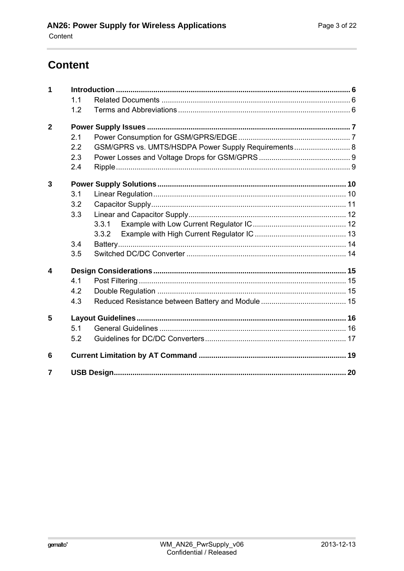# <span id="page-2-0"></span>**Content**

| 1                      |     |                                                     |  |
|------------------------|-----|-----------------------------------------------------|--|
|                        | 1.1 |                                                     |  |
|                        | 1.2 |                                                     |  |
| $\overline{2}$         |     |                                                     |  |
|                        | 2.1 |                                                     |  |
|                        | 2.2 | GSM/GPRS vs. UMTS/HSDPA Power Supply Requirements 8 |  |
|                        | 2.3 |                                                     |  |
|                        | 2.4 |                                                     |  |
| 3                      |     |                                                     |  |
|                        | 3.1 |                                                     |  |
|                        | 3.2 |                                                     |  |
|                        | 3.3 |                                                     |  |
|                        |     | 3.3.1                                               |  |
|                        |     | 3.3.2                                               |  |
|                        | 3.4 |                                                     |  |
|                        | 3.5 |                                                     |  |
| $\boldsymbol{\Lambda}$ |     |                                                     |  |
|                        | 4.1 |                                                     |  |
|                        | 4.2 |                                                     |  |
|                        | 4.3 |                                                     |  |
| 5                      |     |                                                     |  |
|                        | 5.1 |                                                     |  |
|                        | 5.2 |                                                     |  |
| 6                      |     |                                                     |  |
| 7                      |     |                                                     |  |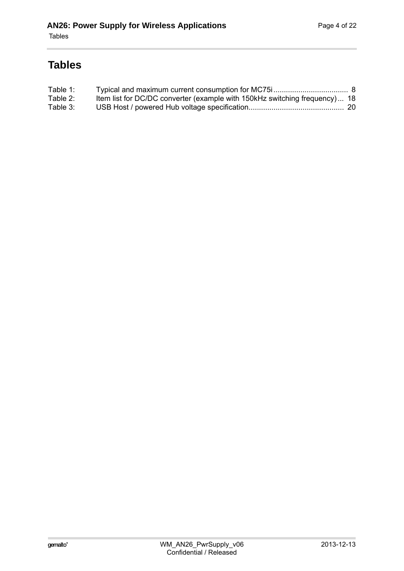# **Tables**

| Table 1: |                                                                            |  |
|----------|----------------------------------------------------------------------------|--|
| Table 2: | Item list for DC/DC converter (example with 150kHz switching frequency) 18 |  |
| Table 3: |                                                                            |  |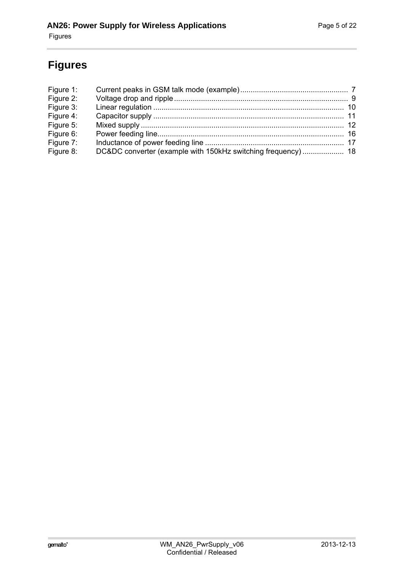# **Figures**

| Figure 1:<br>Figure 2: |  |
|------------------------|--|
| Figure 3:              |  |
| Figure 4:              |  |
| Figure 5:              |  |
| Figure 6:              |  |
| Figure 7:              |  |
| Figure 8:              |  |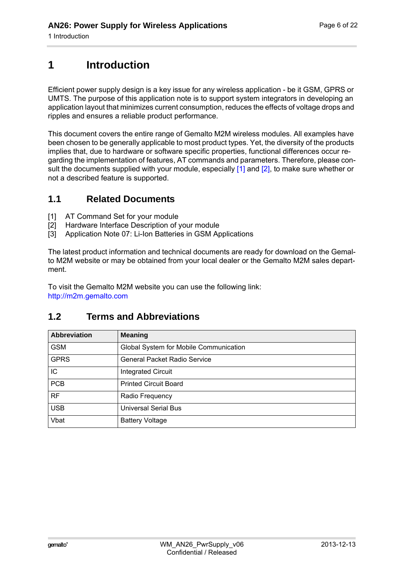# <span id="page-5-0"></span>**1 Introduction**

**6**

Efficient power supply design is a key issue for any wireless application - be it GSM, GPRS or UMTS. The purpose of this application note is to support system integrators in developing an application layout that minimizes current consumption, reduces the effects of voltage drops and ripples and ensures a reliable product performance.

This document covers the entire range of Gemalto M2M wireless modules. All examples have been chosen to be generally applicable to most product types. Yet, the diversity of the products implies that, due to hardware or software specific properties, functional differences occur regarding the implementation of features, AT commands and parameters. Therefore, please con-sult the documents supplied with your module, especially [1] and [\[2\],](#page-5-3) to make sure whether or not a described feature is supported.

#### <span id="page-5-1"></span>**1.1 Related Documents**

- <span id="page-5-6"></span><span id="page-5-4"></span>[1] AT Command Set for your module
- <span id="page-5-5"></span><span id="page-5-3"></span>[2] Hardware Interface Description of your module
- [3] Application Note 07: Li-Ion Batteries in GSM Applications

The latest product information and technical documents are ready for download on the Gemalto M2M website or may be obtained from your local dealer or the Gemalto M2M sales department.

To visit the Gemalto M2M website you can use the following link: <http://m2m.gemalto.com>

#### <span id="page-5-2"></span>**1.2 Terms and Abbreviations**

| <b>Abbreviation</b> | <b>Meaning</b>                         |
|---------------------|----------------------------------------|
| <b>GSM</b>          | Global System for Mobile Communication |
| <b>GPRS</b>         | <b>General Packet Radio Service</b>    |
| ΙC                  | <b>Integrated Circuit</b>              |
| <b>PCB</b>          | <b>Printed Circuit Board</b>           |
| <b>RF</b>           | Radio Frequency                        |
| <b>USB</b>          | <b>Universal Serial Bus</b>            |
| Vbat                | <b>Battery Voltage</b>                 |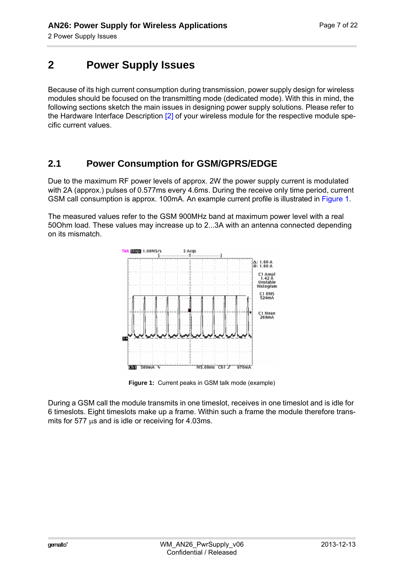# <span id="page-6-0"></span>**2 Power Supply Issues**

**9**

Because of its high current consumption during transmission, power supply design for wireless modules should be focused on the transmitting mode (dedicated mode). With this in mind, the following sections sketch the main issues in designing power supply solutions. Please refer to the Hardware Interface Description [\[2\]](#page-5-4) of your wireless module for the respective module specific current values.

#### <span id="page-6-1"></span>**2.1 Power Consumption for GSM/GPRS/EDGE**

Due to the maximum RF power levels of approx. 2W the power supply current is modulated with 2A (approx.) pulses of 0.577ms every 4.6ms. During the receive only time period, current GSM call consumption is approx. 100mA. An example current profile is illustrated in [Figure 1.](#page-6-2)

The measured values refer to the GSM 900MHz band at maximum power level with a real 50Ohm load. These values may increase up to 2...3A with an antenna connected depending on its mismatch.



**Figure 1:** Current peaks in GSM talk mode (example)

<span id="page-6-2"></span>During a GSM call the module transmits in one timeslot, receives in one timeslot and is idle for 6 timeslots. Eight timeslots make up a frame. Within such a frame the module therefore transmits for 577  $\mu$ s and is idle or receiving for 4.03ms.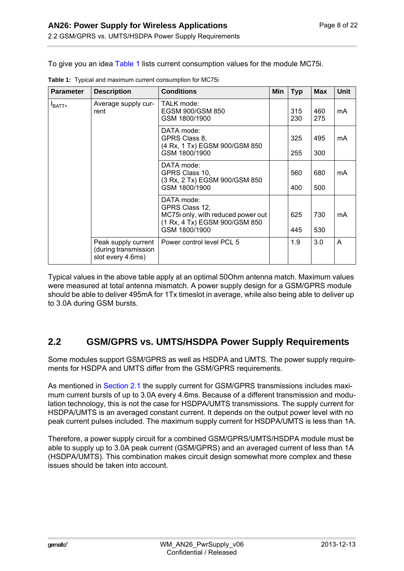To give you an idea [Table 1](#page-7-1) lists current consumption values for the module MC75i.

| <b>Parameter</b>   | <b>Description</b>                                               | <b>Conditions</b>                                                                                                    | Min | <b>Typ</b> | <b>Max</b> | Unit |
|--------------------|------------------------------------------------------------------|----------------------------------------------------------------------------------------------------------------------|-----|------------|------------|------|
| $I_{\text{BATT+}}$ | Average supply cur-<br>rent                                      | TALK mode:<br>EGSM 900/GSM 850<br>GSM 1800/1900                                                                      |     | 315<br>230 | 460<br>275 | mA   |
|                    |                                                                  | DATA mode:<br>GPRS Class 8,<br>(4 Rx, 1 Tx) EGSM 900/GSM 850<br>GSM 1800/1900                                        |     | 325<br>255 | 495<br>300 | mA   |
|                    |                                                                  | DATA mode:<br>GPRS Class 10,<br>(3 Rx, 2 Tx) EGSM 900/GSM 850<br>GSM 1800/1900                                       |     | 560<br>400 | 680<br>500 | mA   |
|                    |                                                                  | DATA mode:<br>GPRS Class 12,<br>MC75i only, with reduced power out<br>(1 Rx, 4 Tx) EGSM 900/GSM 850<br>GSM 1800/1900 |     | 625<br>445 | 730<br>530 | mA   |
|                    | Peak supply current<br>(during transmission<br>slot every 4.6ms) | Power control level PCL 5                                                                                            |     | 1.9        | 3.0        | A    |

<span id="page-7-1"></span>**Table 1:** Typical and maximum current consumption for MC75i

**9**

Typical values in the above table apply at an optimal 50Ohm antenna match. Maximum values were measured at total antenna mismatch. A power supply design for a GSM/GPRS module should be able to deliver 495mA for 1Tx timeslot in average, while also being able to deliver up to 3.0A during GSM bursts.

#### <span id="page-7-0"></span>**2.2 GSM/GPRS vs. UMTS/HSDPA Power Supply Requirements**

Some modules support GSM/GPRS as well as HSDPA and UMTS. The power supply requirements for HSDPA and UMTS differ from the GSM/GPRS requirements.

As mentioned in [Section 2.1](#page-6-1) the supply current for GSM/GPRS transmissions includes maximum current bursts of up to 3.0A every 4.6ms. Because of a different transmission and modulation technology, this is not the case for HSDPA/UMTS transmissions. The supply current for HSDPA/UMTS is an averaged constant current. It depends on the output power level with no peak current pulses included. The maximum supply current for HSDPA/UMTS is less than 1A.

Therefore, a power supply circuit for a combined GSM/GPRS/UMTS/HSDPA module must be able to supply up to 3.0A peak current (GSM/GPRS) and an averaged current of less than 1A (HSDPA/UMTS). This combination makes circuit design somewhat more complex and these issues should be taken into account.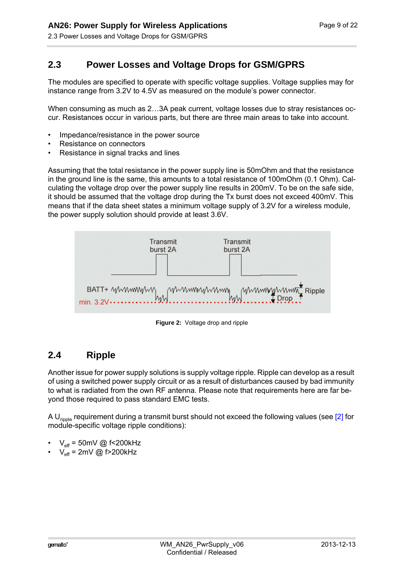**9**

#### <span id="page-8-0"></span>**2.3 Power Losses and Voltage Drops for GSM/GPRS**

The modules are specified to operate with specific voltage supplies. Voltage supplies may for instance range from 3.2V to 4.5V as measured on the module's power connector.

When consuming as much as 2…3A peak current, voltage losses due to stray resistances occur. Resistances occur in various parts, but there are three main areas to take into account.

- Impedance/resistance in the power source
- Resistance on connectors
- Resistance in signal tracks and lines

Assuming that the total resistance in the power supply line is 50mOhm and that the resistance in the ground line is the same, this amounts to a total resistance of 100mOhm (0.1 Ohm). Calculating the voltage drop over the power supply line results in 200mV. To be on the safe side, it should be assumed that the voltage drop during the Tx burst does not exceed 400mV. This means that if the data sheet states a minimum voltage supply of 3.2V for a wireless module, the power supply solution should provide at least 3.6V.



**Figure 2:** Voltage drop and ripple

#### <span id="page-8-2"></span><span id="page-8-1"></span>**2.4 Ripple**

Another issue for power supply solutions is supply voltage ripple. Ripple can develop as a result of using a switched power supply circuit or as a result of disturbances caused by bad immunity to what is radiated from the own RF antenna. Please note that requirements here are far beyond those required to pass standard EMC tests.

A  $U_{\text{ringle}}$  requirement during a transmit burst should not exceed the following values (see  $[2]$  for module-specific voltage ripple conditions):

- $V_{\text{eff}}$  = 50mV @ f<200kHz
- $V_{\text{eff}}$  = 2mV @ f>200kHz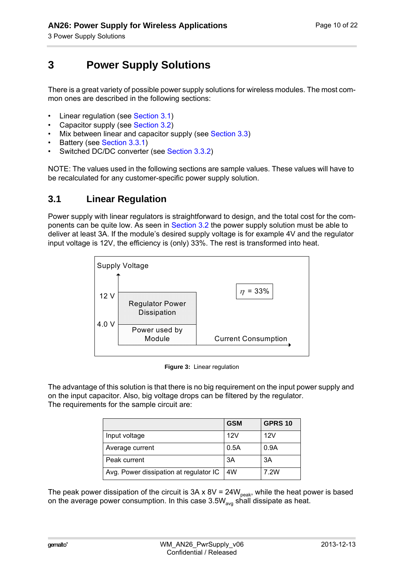# <span id="page-9-0"></span>**3 Power Supply Solutions**

There is a great variety of possible power supply solutions for wireless modules. The most common ones are described in the following sections:

- Linear regulation (see [Section 3.1](#page-9-1))
- Capacitor supply (see [Section 3.2](#page-10-0))
- Mix between linear and capacitor supply (see [Section 3.3\)](#page-11-0)
- Battery (see [Section 3.3.1](#page-11-1))

**14**

• Switched DC/DC converter (see [Section 3.3.2\)](#page-12-0)

NOTE: The values used in the following sections are sample values. These values will have to be recalculated for any customer-specific power supply solution.

#### <span id="page-9-1"></span>**3.1 Linear Regulation**

Power supply with linear regulators is straightforward to design, and the total cost for the com-ponents can be quite low. As seen in [Section 3.2](#page-10-0) the power supply solution must be able to deliver at least 3A. If the module's desired supply voltage is for example 4V and the regulator input voltage is 12V, the efficiency is (only) 33%. The rest is transformed into heat.



**Figure 3:** Linear regulation

<span id="page-9-2"></span>The advantage of this solution is that there is no big requirement on the input power supply and on the input capacitor. Also, big voltage drops can be filtered by the regulator. The requirements for the sample circuit are:

|                                        | <b>GSM</b> | <b>GPRS 10</b> |
|----------------------------------------|------------|----------------|
| Input voltage                          | 12V        | 12V            |
| Average current                        | 0.5A       | 0.9A           |
| Peak current                           | 3A         | ЗA             |
| Avg. Power dissipation at regulator IC | 4W         | 7.2W           |

The peak power dissipation of the circuit is 3A x 8V = 24W<sub>peak</sub>, while the heat power is based on the average power consumption. In this case 3.5W<sub>avg</sub> shall dissipate as heat.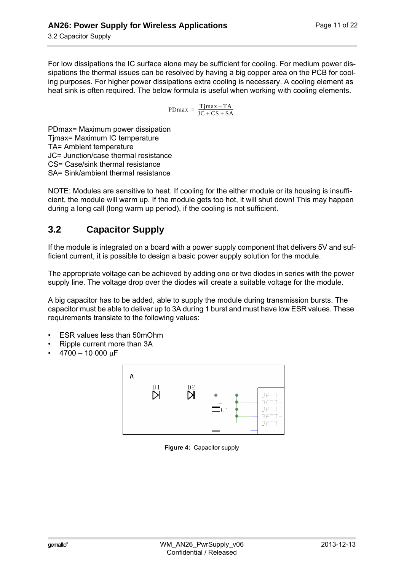For low dissipations the IC surface alone may be sufficient for cooling. For medium power dissipations the thermal issues can be resolved by having a big copper area on the PCB for cooling purposes. For higher power dissipations extra cooling is necessary. A cooling element as heat sink is often required. The below formula is useful when working with cooling elements.

$$
PDmax = \frac{Tjmax - TA}{JC + CS + SA}
$$

PDmax= Maximum power dissipation Tjmax= Maximum IC temperature TA= Ambient temperature JC= Junction/case thermal resistance CS= Case/sink thermal resistance SA= Sink/ambient thermal resistance

**14**

NOTE: Modules are sensitive to heat. If cooling for the either module or its housing is insufficient, the module will warm up. If the module gets too hot, it will shut down! This may happen during a long call (long warm up period), if the cooling is not sufficient.

### <span id="page-10-0"></span>**3.2 Capacitor Supply**

If the module is integrated on a board with a power supply component that delivers 5V and sufficient current, it is possible to design a basic power supply solution for the module.

The appropriate voltage can be achieved by adding one or two diodes in series with the power supply line. The voltage drop over the diodes will create a suitable voltage for the module.

A big capacitor has to be added, able to supply the module during transmission bursts. The capacitor must be able to deliver up to 3A during 1 burst and must have low ESR values. These requirements translate to the following values:

- ESR values less than 50mOhm
- Ripple current more than 3A
- <span id="page-10-1"></span> $4700 - 10000$  uF



**Figure 4:** Capacitor supply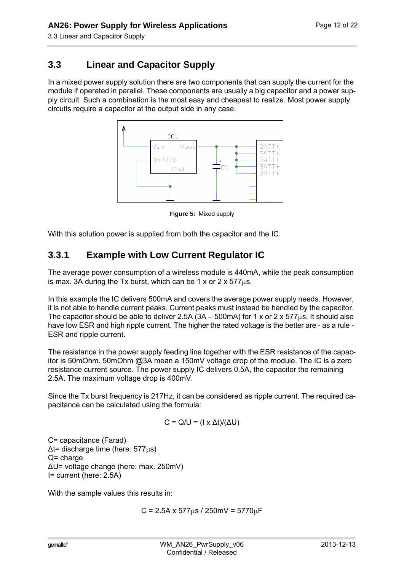3.3 Linear and Capacitor Supply

**14**

### <span id="page-11-0"></span>**3.3 Linear and Capacitor Supply**

In a mixed power supply solution there are two components that can supply the current for the module if operated in parallel. These components are usually a big capacitor and a power supply circuit. Such a combination is the most easy and cheapest to realize. Most power supply circuits require a capacitor at the output side in any case.



**Figure 5:** Mixed supply

<span id="page-11-2"></span>With this solution power is supplied from both the capacitor and the IC.

### <span id="page-11-1"></span>**3.3.1 Example with Low Current Regulator IC**

The average power consumption of a wireless module is 440mA, while the peak consumption is max. 3A during the Tx burst, which can be 1 x or 2 x  $577\mu s$ .

In this example the IC delivers 500mA and covers the average power supply needs. However, it is not able to handle current peaks. Current peaks must instead be handled by the capacitor. The capacitor should be able to deliver 2.5A ( $3A - 500$ mA) for 1 x or 2 x 577 $\mu$ s. It should also have low ESR and high ripple current. The higher the rated voltage is the better are - as a rule - ESR and ripple current.

The resistance in the power supply feeding line together with the ESR resistance of the capacitor is 50mOhm. 50mOhm @3A mean a 150mV voltage drop of the module. The IC is a zero resistance current source. The power supply IC delivers 0.5A, the capacitor the remaining 2.5A. The maximum voltage drop is 400mV.

Since the Tx burst frequency is 217Hz, it can be considered as ripple current. The required capacitance can be calculated using the formula:

$$
C = Q/U = (I \times \Delta t)/(\Delta U)
$$

C= capacitance (Farad)  $\Delta t$ = discharge time (here: 577 $\mu$ s)  $Q =$  charge ∆U= voltage change (here: max. 250mV) I= current (here: 2.5A)

With the sample values this results in:

 $C = 2.5A \times 577us / 250mV = 5770uF$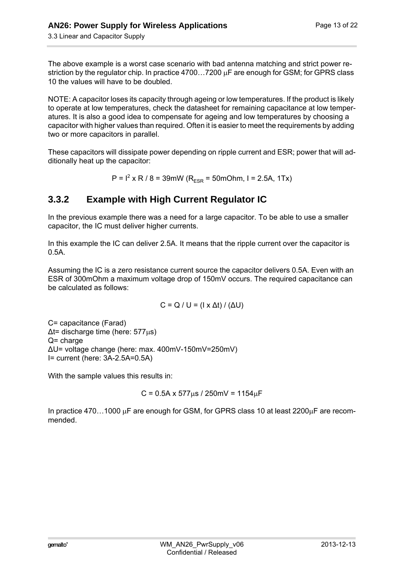**14**

The above example is a worst case scenario with bad antenna matching and strict power restriction by the regulator chip. In practice  $4700...7200$   $\mu$ F are enough for GSM; for GPRS class 10 the values will have to be doubled.

NOTE: A capacitor loses its capacity through ageing or low temperatures. If the product is likely to operate at low temperatures, check the datasheet for remaining capacitance at low temperatures. It is also a good idea to compensate for ageing and low temperatures by choosing a capacitor with higher values than required. Often it is easier to meet the requirements by adding two or more capacitors in parallel.

These capacitors will dissipate power depending on ripple current and ESR; power that will additionally heat up the capacitor:

 $P = I^2$  x R / 8 = 39mW (R<sub>ESR</sub> = 50mOhm, I = 2.5A, 1Tx)

### <span id="page-12-0"></span>**3.3.2 Example with High Current Regulator IC**

In the previous example there was a need for a large capacitor. To be able to use a smaller capacitor, the IC must deliver higher currents.

In this example the IC can deliver 2.5A. It means that the ripple current over the capacitor is 0.5A.

Assuming the IC is a zero resistance current source the capacitor delivers 0.5A. Even with an ESR of 300mOhm a maximum voltage drop of 150mV occurs. The required capacitance can be calculated as follows:

$$
C = Q / U = (I \times \Delta t) / (\Delta U)
$$

C= capacitance (Farad)  $\Delta t$ = discharge time (here: 577 $\mu$ s)  $Q =$  charge ∆U= voltage change (here: max. 400mV-150mV=250mV) I= current (here: 3A-2.5A=0.5A)

With the sample values this results in:

$$
C = 0.5A \times 577 \mu s / 250 mV = 1154 \mu F
$$

In practice 470...1000  $\mu$ F are enough for GSM, for GPRS class 10 at least 2200 $\mu$ F are recommended.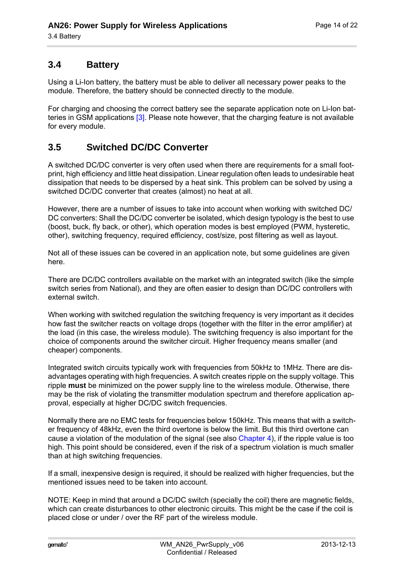#### <span id="page-13-0"></span>**3.4 Battery**

**14**

Using a Li-Ion battery, the battery must be able to deliver all necessary power peaks to the module. Therefore, the battery should be connected directly to the module.

For charging and choosing the correct battery see the separate application note on Li-Ion batteries in GSM applications [\[3\]](#page-5-5). Please note however, that the charging feature is not available for every module.

#### <span id="page-13-1"></span>**3.5 Switched DC/DC Converter**

A switched DC/DC converter is very often used when there are requirements for a small footprint, high efficiency and little heat dissipation. Linear regulation often leads to undesirable heat dissipation that needs to be dispersed by a heat sink. This problem can be solved by using a switched DC/DC converter that creates (almost) no heat at all.

However, there are a number of issues to take into account when working with switched DC/ DC converters: Shall the DC/DC converter be isolated, which design typology is the best to use (boost, buck, fly back, or other), which operation modes is best employed (PWM, hysteretic, other), switching frequency, required efficiency, cost/size, post filtering as well as layout.

Not all of these issues can be covered in an application note, but some guidelines are given here.

There are DC/DC controllers available on the market with an integrated switch (like the simple switch series from National), and they are often easier to design than DC/DC controllers with external switch.

When working with switched regulation the switching frequency is very important as it decides how fast the switcher reacts on voltage drops (together with the filter in the error amplifier) at the load (in this case, the wireless module). The switching frequency is also important for the choice of components around the switcher circuit. Higher frequency means smaller (and cheaper) components.

Integrated switch circuits typically work with frequencies from 50kHz to 1MHz. There are disadvantages operating with high frequencies. A switch creates ripple on the supply voltage. This ripple **must** be minimized on the power supply line to the wireless module. Otherwise, there may be the risk of violating the transmitter modulation spectrum and therefore application approval, especially at higher DC/DC switch frequencies.

Normally there are no EMC tests for frequencies below 150kHz. This means that with a switcher frequency of 48kHz, even the third overtone is below the limit. But this third overtone can cause a violation of the modulation of the signal (see also [Chapter 4\)](#page-14-4), if the ripple value is too high. This point should be considered, even if the risk of a spectrum violation is much smaller than at high switching frequencies.

If a small, inexpensive design is required, it should be realized with higher frequencies, but the mentioned issues need to be taken into account.

NOTE: Keep in mind that around a DC/DC switch (specially the coil) there are magnetic fields, which can create disturbances to other electronic circuits. This might be the case if the coil is placed close or under / over the RF part of the wireless module.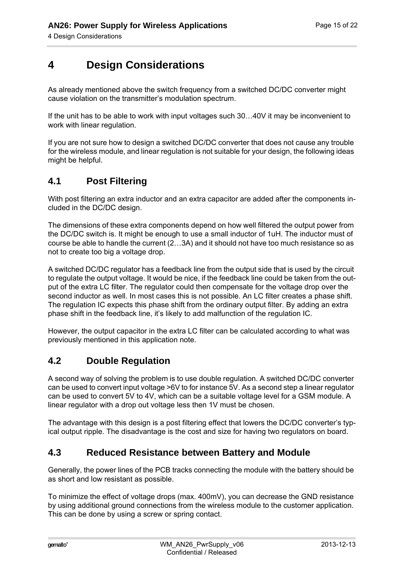# <span id="page-14-0"></span>**4 Design Considerations**

As already mentioned above the switch frequency from a switched DC/DC converter might cause violation on the transmitter's modulation spectrum.

If the unit has to be able to work with input voltages such 30…40V it may be inconvenient to work with linear regulation.

If you are not sure how to design a switched DC/DC converter that does not cause any trouble for the wireless module, and linear regulation is not suitable for your design, the following ideas might be helpful.

#### <span id="page-14-1"></span>**4.1 Post Filtering**

<span id="page-14-4"></span>**15**

With post filtering an extra inductor and an extra capacitor are added after the components included in the DC/DC design.

The dimensions of these extra components depend on how well filtered the output power from the DC/DC switch is. It might be enough to use a small inductor of 1uH. The inductor must of course be able to handle the current (2…3A) and it should not have too much resistance so as not to create too big a voltage drop.

A switched DC/DC regulator has a feedback line from the output side that is used by the circuit to regulate the output voltage. It would be nice, if the feedback line could be taken from the output of the extra LC filter. The regulator could then compensate for the voltage drop over the second inductor as well. In most cases this is not possible. An LC filter creates a phase shift. The regulation IC expects this phase shift from the ordinary output filter. By adding an extra phase shift in the feedback line, it's likely to add malfunction of the regulation IC.

However, the output capacitor in the extra LC filter can be calculated according to what was previously mentioned in this application note.

#### <span id="page-14-2"></span>**4.2 Double Regulation**

A second way of solving the problem is to use double regulation. A switched DC/DC converter can be used to convert input voltage >6V to for instance 5V. As a second step a linear regulator can be used to convert 5V to 4V, which can be a suitable voltage level for a GSM module. A linear regulator with a drop out voltage less then 1V must be chosen.

The advantage with this design is a post filtering effect that lowers the DC/DC converter's typical output ripple. The disadvantage is the cost and size for having two regulators on board.

#### <span id="page-14-3"></span>**4.3 Reduced Resistance between Battery and Module**

Generally, the power lines of the PCB tracks connecting the module with the battery should be as short and low resistant as possible.

To minimize the effect of voltage drops (max. 400mV), you can decrease the GND resistance by using additional ground connections from the wireless module to the customer application. This can be done by using a screw or spring contact.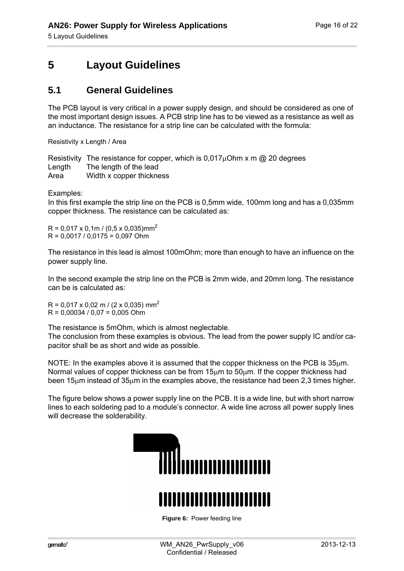# <span id="page-15-0"></span>**5 Layout Guidelines**

#### <span id="page-15-1"></span>**5.1 General Guidelines**

The PCB layout is very critical in a power supply design, and should be considered as one of the most important design issues. A PCB strip line has to be viewed as a resistance as well as an inductance. The resistance for a strip line can be calculated with the formula:

Resistivity x Length / Area

Resistivity The resistance for copper, which is  $0.017\mu$ Ohm x m @ 20 degrees Length The length of the lead Area Width x copper thickness

Examples:

**18**

In this first example the strip line on the PCB is 0,5mm wide, 100mm long and has a 0,035mm copper thickness. The resistance can be calculated as:

 $R = 0.017 \times 0.1$ m / (0.5 x 0.035)mm<sup>2</sup>  $R = 0.0017 / 0.0175 = 0.097$  Ohm

The resistance in this lead is almost 100mOhm; more than enough to have an influence on the power supply line.

In the second example the strip line on the PCB is 2mm wide, and 20mm long. The resistance can be is calculated as:

 $R = 0.017 \times 0.02$  m / (2 x 0.035) mm<sup>2</sup>  $R = 0.00034 / 0.07 = 0.005$  Ohm

The resistance is 5mOhm, which is almost neglectable. The conclusion from these examples is obvious. The lead from the power supply IC and/or capacitor shall be as short and wide as possible.

NOTE: In the examples above it is assumed that the copper thickness on the PCB is  $35<sub>µ</sub>$ m. Normal values of copper thickness can be from  $15\mu m$  to  $50\mu m$ . If the copper thickness had been 15 $\mu$ m instead of 35 $\mu$ m in the examples above, the resistance had been 2,3 times higher.

The figure below shows a power supply line on the PCB. It is a wide line, but with short narrow lines to each soldering pad to a module's connector. A wide line across all power supply lines will decrease the solderability.



<span id="page-15-2"></span>**Figure 6:** Power feeding line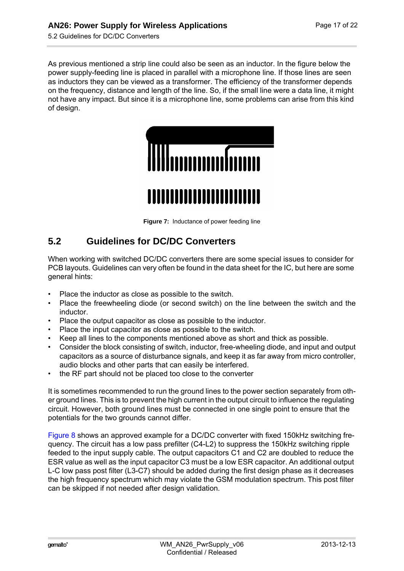5.2 Guidelines for DC/DC Converters

**18**

As previous mentioned a strip line could also be seen as an inductor. In the figure below the power supply-feeding line is placed in parallel with a microphone line. If those lines are seen as inductors they can be viewed as a transformer. The efficiency of the transformer depends on the frequency, distance and length of the line. So, if the small line were a data line, it might not have any impact. But since it is a microphone line, some problems can arise from this kind of design.



**Figure 7:** Inductance of power feeding line

### <span id="page-16-1"></span><span id="page-16-0"></span>**5.2 Guidelines for DC/DC Converters**

When working with switched DC/DC converters there are some special issues to consider for PCB layouts. Guidelines can very often be found in the data sheet for the IC, but here are some general hints:

- Place the inductor as close as possible to the switch.
- Place the freewheeling diode (or second switch) on the line between the switch and the inductor.
- Place the output capacitor as close as possible to the inductor.
- Place the input capacitor as close as possible to the switch.
- Keep all lines to the components mentioned above as short and thick as possible.
- Consider the block consisting of switch, inductor, free-wheeling diode, and input and output capacitors as a source of disturbance signals, and keep it as far away from micro controller, audio blocks and other parts that can easily be interfered.
- the RF part should not be placed too close to the converter

It is sometimes recommended to run the ground lines to the power section separately from other ground lines. This is to prevent the high current in the output circuit to influence the regulating circuit. However, both ground lines must be connected in one single point to ensure that the potentials for the two grounds cannot differ.

[Figure 8](#page-17-1) shows an approved example for a DC/DC converter with fixed 150kHz switching frequency. The circuit has a low pass prefilter (C4-L2) to suppress the 150kHz switching ripple feeded to the input supply cable. The output capacitors C1 and C2 are doubled to reduce the ESR value as well as the input capacitor C3 must be a low ESR capacitor. An additional output L-C low pass post filter (L3-C7) should be added during the first design phase as it decreases the high frequency spectrum which may violate the GSM modulation spectrum. This post filter can be skipped if not needed after design validation.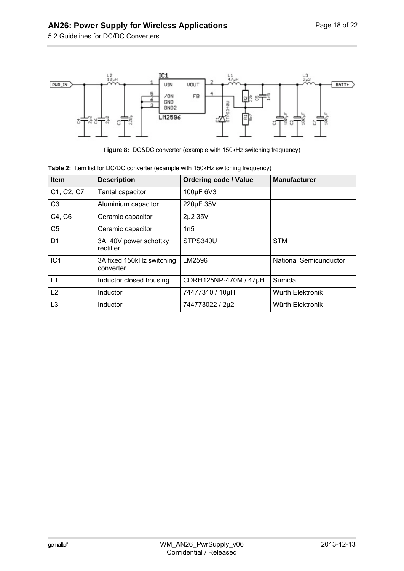5.2 Guidelines for DC/DC Converters

**18**



**Figure 8:** DC&DC converter (example with 150kHz switching frequency)

| <b>Item</b>     | <b>Description</b>                     | <b>Ordering code / Value</b> | <b>Manufacturer</b>    |
|-----------------|----------------------------------------|------------------------------|------------------------|
| C1, C2, C7      | Tantal capacitor                       | 100µF 6V3                    |                        |
| C <sub>3</sub>  | Aluminium capacitor                    | 220µF 35V                    |                        |
| C4, C6          | Ceramic capacitor                      | 2µ2 35V                      |                        |
| C <sub>5</sub>  | Ceramic capacitor                      | 1n5                          |                        |
| D <sub>1</sub>  | 3A, 40V power schottky<br>rectifier    | STPS340U                     | <b>STM</b>             |
| IC <sub>1</sub> | 3A fixed 150kHz switching<br>converter | LM2596                       | National Semicunductor |
| L1              | Inductor closed housing                | CDRH125NP-470M / 47µH        | Sumida                 |
| L2              | Inductor                               | 74477310 / 10µH              | Würth Elektronik       |
| L <sub>3</sub>  | Inductor                               | 744773022 / 2µ2              | Würth Elektronik       |

<span id="page-17-1"></span><span id="page-17-0"></span>

| Table 2: Item list for DC/DC converter (example with 150kHz switching frequency) |
|----------------------------------------------------------------------------------|
|----------------------------------------------------------------------------------|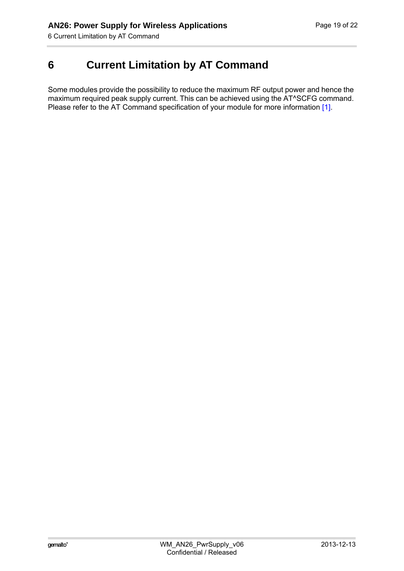**19**

# <span id="page-18-0"></span>**6 Current Limitation by AT Command**

Some modules provide the possibility to reduce the maximum RF output power and hence the maximum required peak supply current. This can be achieved using the AT^SCFG command. Please refer to the AT Command specification of your module for more information [\[1\]](#page-5-6).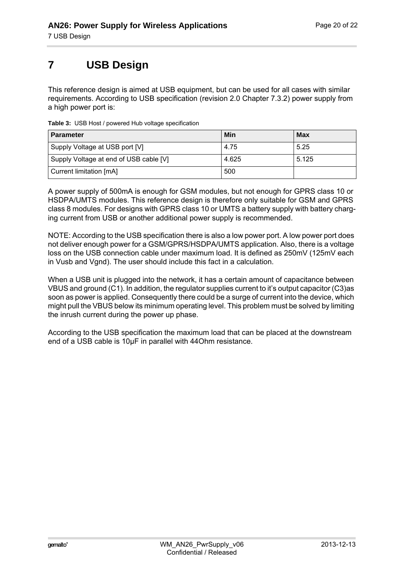# <span id="page-19-0"></span>**7 USB Design**

**21**

This reference design is aimed at USB equipment, but can be used for all cases with similar requirements. According to USB specification (revision 2.0 Chapter 7.3.2) power supply from a high power port is:

| <b>Parameter</b>                       | Min   | <b>Max</b> |
|----------------------------------------|-------|------------|
| Supply Voltage at USB port [V]         | 4.75  | 5.25       |
| Supply Voltage at end of USB cable [V] | 4.625 | 5.125      |
| Current limitation [mA]                | 500   |            |

<span id="page-19-1"></span>**Table 3:** USB Host / powered Hub voltage specification

A power supply of 500mA is enough for GSM modules, but not enough for GPRS class 10 or HSDPA/UMTS modules. This reference design is therefore only suitable for GSM and GPRS class 8 modules. For designs with GPRS class 10 or UMTS a battery supply with battery charging current from USB or another additional power supply is recommended.

NOTE: According to the USB specification there is also a low power port. A low power port does not deliver enough power for a GSM/GPRS/HSDPA/UMTS application. Also, there is a voltage loss on the USB connection cable under maximum load. It is defined as 250mV (125mV each in Vusb and Vgnd). The user should include this fact in a calculation.

When a USB unit is plugged into the network, it has a certain amount of capacitance between VBUS and ground (C1). In addition, the regulator supplies current to it's output capacitor (C3)as soon as power is applied. Consequently there could be a surge of current into the device, which might pull the VBUS below its minimum operating level. This problem must be solved by limiting the inrush current during the power up phase.

According to the USB specification the maximum load that can be placed at the downstream end of a USB cable is 10µF in parallel with 44Ohm resistance.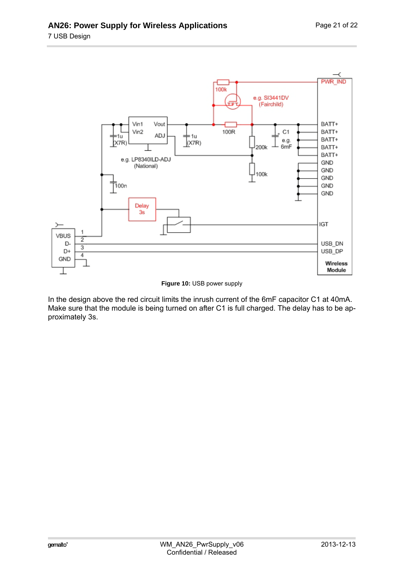**21**



**Figure 10:** USB power supply

In the design above the red circuit limits the inrush current of the 6mF capacitor C1 at 40mA. Make sure that the module is being turned on after C1 is full charged. The delay has to be approximately 3s.